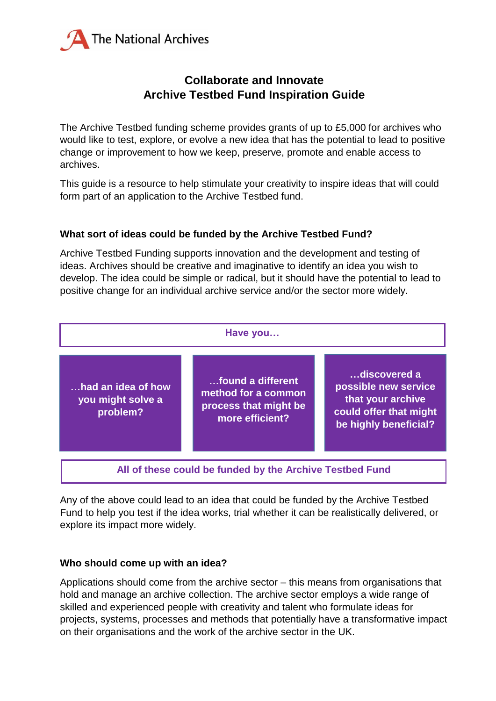

### **Collaborate and Innovate Archive Testbed Fund Inspiration Guide**

The Archive Testbed funding scheme provides grants of up to £5,000 for archives who would like to test, explore, or evolve a new idea that has the potential to lead to positive change or improvement to how we keep, preserve, promote and enable access to archives.

This guide is a resource to help stimulate your creativity to inspire ideas that will could form part of an application to the Archive Testbed fund.

### **What sort of ideas could be funded by the Archive Testbed Fund?**

Archive Testbed Funding supports innovation and the development and testing of ideas. Archives should be creative and imaginative to identify an idea you wish to develop. The idea could be simple or radical, but it should have the potential to lead to positive change for an individual archive service and/or the sector more widely.



Any of the above could lead to an idea that could be funded by the Archive Testbed Fund to help you test if the idea works, trial whether it can be realistically delivered, or explore its impact more widely.

### **Who should come up with an idea?**

Applications should come from the archive sector – this means from organisations that hold and manage an archive collection. The archive sector employs a wide range of skilled and experienced people with creativity and talent who formulate ideas for projects, systems, processes and methods that potentially have a transformative impact on their organisations and the work of the archive sector in the UK.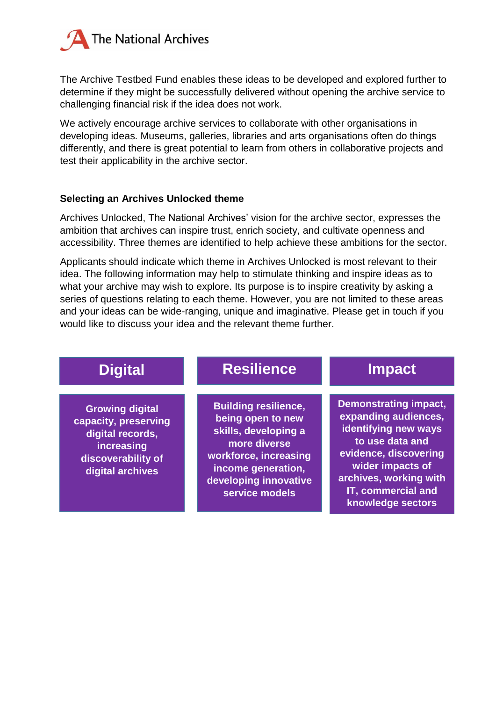

The Archive Testbed Fund enables these ideas to be developed and explored further to determine if they might be successfully delivered without opening the archive service to challenging financial risk if the idea does not work.

We actively encourage archive services to collaborate with other organisations in developing ideas. Museums, galleries, libraries and arts organisations often do things differently, and there is great potential to learn from others in collaborative projects and test their applicability in the archive sector.

#### **Selecting an Archives Unlocked theme**

Archives Unlocked, The National Archives' vision for the archive sector, expresses the ambition that archives can inspire trust, enrich society, and cultivate openness and accessibility. Three themes are identified to help achieve these ambitions for the sector.

Applicants should indicate which theme in Archives Unlocked is most relevant to their idea. The following information may help to stimulate thinking and inspire ideas as to what your archive may wish to explore. Its purpose is to inspire creativity by asking a series of questions relating to each theme. However, you are not limited to these areas and your ideas can be wide-ranging, unique and imaginative. Please get in touch if you would like to discuss your idea and the relevant theme further.

| <b>Digital</b>                                                                                                             | <b>Resilience</b>                                                                                                                                                                  | <b>Impact</b>                                                                                                                                                                                                     |
|----------------------------------------------------------------------------------------------------------------------------|------------------------------------------------------------------------------------------------------------------------------------------------------------------------------------|-------------------------------------------------------------------------------------------------------------------------------------------------------------------------------------------------------------------|
| <b>Growing digital</b><br>capacity, preserving<br>digital records,<br>increasing<br>discoverability of<br>digital archives | <b>Building resilience,</b><br>being open to new<br>skills, developing a<br>more diverse<br>workforce, increasing<br>income generation,<br>developing innovative<br>service models | <b>Demonstrating impact,</b><br>expanding audiences,<br>identifying new ways<br>to use data and<br>evidence, discovering<br>wider impacts of<br>archives, working with<br>IT, commercial and<br>knowledge sectors |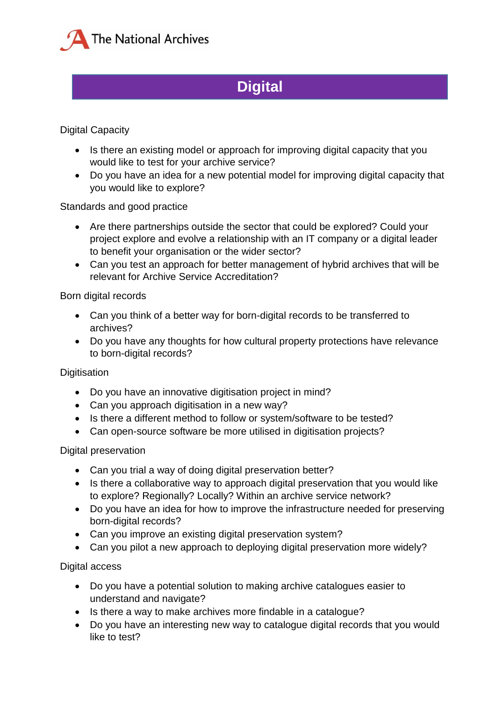

# **Digital**

### Digital Capacity

- Is there an existing model or approach for improving digital capacity that you would like to test for your archive service?
- Do you have an idea for a new potential model for improving digital capacity that you would like to explore?

Standards and good practice

- Are there partnerships outside the sector that could be explored? Could your project explore and evolve a relationship with an IT company or a digital leader to benefit your organisation or the wider sector?
- Can you test an approach for better management of hybrid archives that will be relevant for Archive Service Accreditation?

### Born digital records

- Can you think of a better way for born-digital records to be transferred to archives?
- Do you have any thoughts for how cultural property protections have relevance to born-digital records?

### **Digitisation**

- Do you have an innovative digitisation project in mind?
- Can you approach digitisation in a new way?
- Is there a different method to follow or system/software to be tested?
- Can open-source software be more utilised in digitisation projects?

### Digital preservation

- Can you trial a way of doing digital preservation better?
- Is there a collaborative way to approach digital preservation that you would like to explore? Regionally? Locally? Within an archive service network?
- Do you have an idea for how to improve the infrastructure needed for preserving born-digital records?
- Can you improve an existing digital preservation system?
- Can you pilot a new approach to deploying digital preservation more widely?

### Digital access

- Do you have a potential solution to making archive catalogues easier to understand and navigate?
- Is there a way to make archives more findable in a catalogue?
- Do you have an interesting new way to catalogue digital records that you would like to test?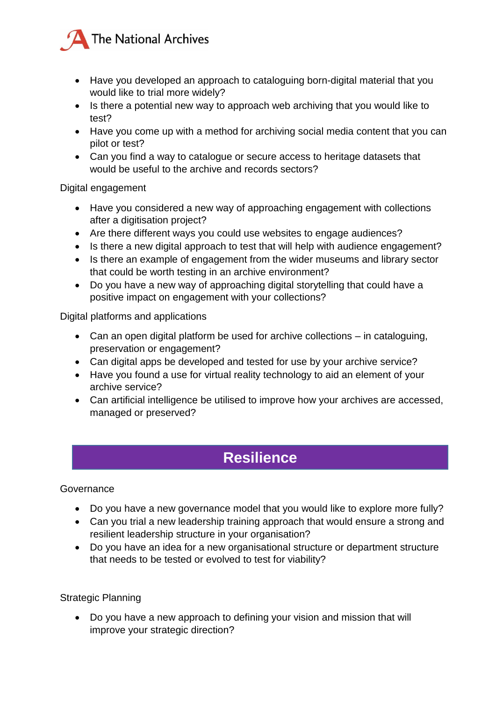

- Have you developed an approach to cataloguing born-digital material that you would like to trial more widely?
- Is there a potential new way to approach web archiving that you would like to test?
- Have you come up with a method for archiving social media content that you can pilot or test?
- Can you find a way to catalogue or secure access to heritage datasets that would be useful to the archive and records sectors?

Digital engagement

- Have you considered a new way of approaching engagement with collections after a digitisation project?
- Are there different ways you could use websites to engage audiences?
- Is there a new digital approach to test that will help with audience engagement?
- Is there an example of engagement from the wider museums and library sector that could be worth testing in an archive environment?
- Do you have a new way of approaching digital storytelling that could have a positive impact on engagement with your collections?

Digital platforms and applications

- Can an open digital platform be used for archive collections in cataloguing, preservation or engagement?
- Can digital apps be developed and tested for use by your archive service?
- Have you found a use for virtual reality technology to aid an element of your archive service?
- Can artificial intelligence be utilised to improve how your archives are accessed, managed or preserved?

### **Resilience**

### **Governance**

- Do you have a new governance model that you would like to explore more fully?
- Can you trial a new leadership training approach that would ensure a strong and resilient leadership structure in your organisation?
- Do you have an idea for a new organisational structure or department structure that needs to be tested or evolved to test for viability?

### Strategic Planning

 Do you have a new approach to defining your vision and mission that will improve your strategic direction?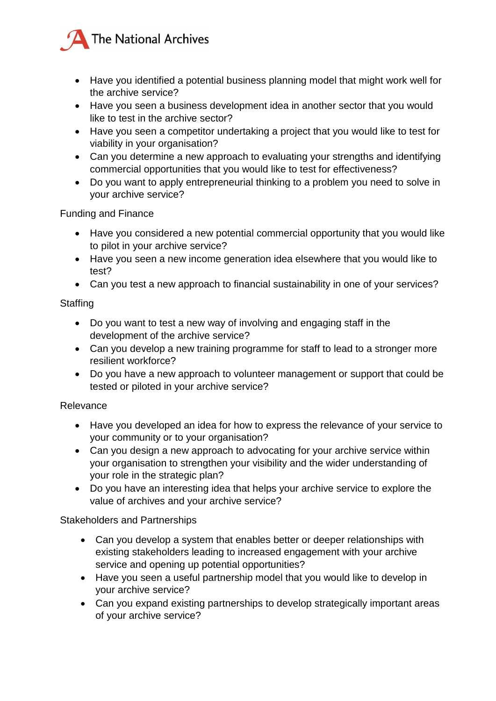

- Have you identified a potential business planning model that might work well for the archive service?
- Have you seen a business development idea in another sector that you would like to test in the archive sector?
- Have you seen a competitor undertaking a project that you would like to test for viability in your organisation?
- Can you determine a new approach to evaluating your strengths and identifying commercial opportunities that you would like to test for effectiveness?
- Do you want to apply entrepreneurial thinking to a problem you need to solve in your archive service?

Funding and Finance

- Have you considered a new potential commercial opportunity that you would like to pilot in your archive service?
- Have you seen a new income generation idea elsewhere that you would like to test?
- Can you test a new approach to financial sustainability in one of your services?

**Staffing** 

- Do you want to test a new way of involving and engaging staff in the development of the archive service?
- Can you develop a new training programme for staff to lead to a stronger more resilient workforce?
- Do you have a new approach to volunteer management or support that could be tested or piloted in your archive service?

### Relevance

- Have you developed an idea for how to express the relevance of your service to your community or to your organisation?
- Can you design a new approach to advocating for your archive service within your organisation to strengthen your visibility and the wider understanding of your role in the strategic plan?
- Do you have an interesting idea that helps your archive service to explore the value of archives and your archive service?

### Stakeholders and Partnerships

- Can you develop a system that enables better or deeper relationships with existing stakeholders leading to increased engagement with your archive service and opening up potential opportunities?
- Have you seen a useful partnership model that you would like to develop in your archive service?
- Can you expand existing partnerships to develop strategically important areas of your archive service?